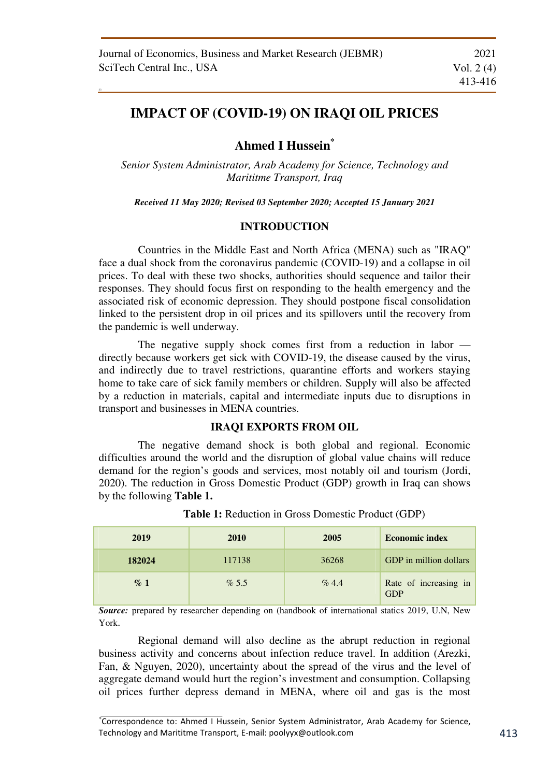33

# **IMPACT OF (COVID-19) ON IRAQI OIL PRICES**

## **Ahmed I Hussein\***

*Senior System Administrator, Arab Academy for Science, Technology and Marititme Transport, Iraq* 

*Received 11 May 2020; Revised 03 September 2020; Accepted 15 January 2021* 

## **INTRODUCTION**

Countries in the Middle East and North Africa (MENA) such as "IRAQ" face a dual shock from the coronavirus pandemic (COVID-19) and a collapse in oil prices. To deal with these two shocks, authorities should sequence and tailor their responses. They should focus first on responding to the health emergency and the associated risk of economic depression. They should postpone fiscal consolidation linked to the persistent drop in oil prices and its spillovers until the recovery from the pandemic is well underway.

The negative supply shock comes first from a reduction in labor directly because workers get sick with COVID-19, the disease caused by the virus, and indirectly due to travel restrictions, quarantine efforts and workers staying home to take care of sick family members or children. Supply will also be affected by a reduction in materials, capital and intermediate inputs due to disruptions in transport and businesses in MENA countries.

### **IRAQI EXPORTS FROM OIL**

The negative demand shock is both global and regional. Economic difficulties around the world and the disruption of global value chains will reduce demand for the region's goods and services, most notably oil and tourism (Jordi, 2020). The reduction in Gross Domestic Product (GDP) growth in Iraq can shows by the following **Table 1.** 

| 2019   | 2010   | 2005     | <b>Economic index</b>               |
|--------|--------|----------|-------------------------------------|
| 182024 | 117138 | 36268    | GDP in million dollars              |
| $\%$ 1 | % 5.5  | $\%$ 4.4 | Rate of increasing in<br><b>GDP</b> |

**Table 1:** Reduction in Gross Domestic Product (GDP)

*Source:* prepared by researcher depending on (handbook of international statics 2019, U.N, New York.

Regional demand will also decline as the abrupt reduction in regional business activity and concerns about infection reduce travel. In addition (Arezki, Fan, & Nguyen, 2020), uncertainty about the spread of the virus and the level of aggregate demand would hurt the region's investment and consumption. Collapsing oil prices further depress demand in MENA, where oil and gas is the most

<sup>∗</sup> Correspondence to: Ahmed I Hussein, Senior System Administrator, Arab Academy for Science, Technology and Marititme Transport, E-mail: poolyyx@outlook.com 413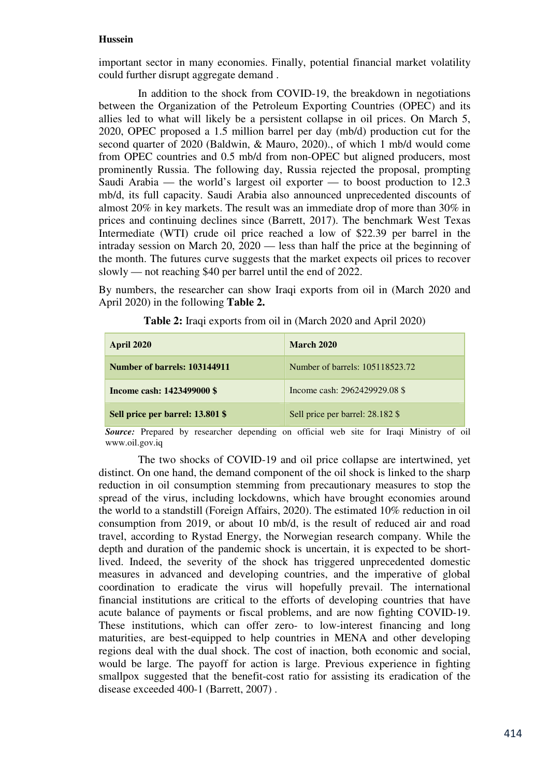### **Hussein**

important sector in many economies. Finally, potential financial market volatility could further disrupt aggregate demand .

In addition to the shock from COVID-19, the breakdown in negotiations between the Organization of the Petroleum Exporting Countries (OPEC) and its allies led to what will likely be a persistent collapse in oil prices. On March 5, 2020, OPEC proposed a 1.5 million barrel per day (mb/d) production cut for the second quarter of 2020 (Baldwin, & Mauro, 2020)., of which 1 mb/d would come from OPEC countries and 0.5 mb/d from non-OPEC but aligned producers, most prominently Russia. The following day, Russia rejected the proposal, prompting Saudi Arabia — the world's largest oil exporter — to boost production to 12.3 mb/d, its full capacity. Saudi Arabia also announced unprecedented discounts of almost 20% in key markets. The result was an immediate drop of more than 30% in prices and continuing declines since (Barrett, 2017). The benchmark West Texas Intermediate (WTI) crude oil price reached a low of \$22.39 per barrel in the intraday session on March 20, 2020 — less than half the price at the beginning of the month. The futures curve suggests that the market expects oil prices to recover slowly — not reaching \$40 per barrel until the end of 2022.

By numbers, the researcher can show Iraqi exports from oil in (March 2020 and April 2020) in the following **Table 2.** 

| <b>April 2020</b>                | <b>March 2020</b>                |  |
|----------------------------------|----------------------------------|--|
| Number of barrels: 103144911     | Number of barrels: 105118523.72  |  |
| Income cash: 1423499000 \$       | Income cash: 2962429929.08 \$    |  |
| Sell price per barrel: 13.801 \$ | Sell price per barrel: 28.182 \$ |  |

**Table 2:** Iraqi exports from oil in (March 2020 and April 2020)

*Source:* Prepared by researcher depending on official web site for Iraqi Ministry of oil www.oil.gov.iq

The two shocks of COVID-19 and oil price collapse are intertwined, yet distinct. On one hand, the demand component of the oil shock is linked to the sharp reduction in oil consumption stemming from precautionary measures to stop the spread of the virus, including lockdowns, which have brought economies around the world to a standstill (Foreign Affairs, 2020). The estimated 10% reduction in oil consumption from 2019, or about 10 mb/d, is the result of reduced air and road travel, according to Rystad Energy, the Norwegian research company. While the depth and duration of the pandemic shock is uncertain, it is expected to be shortlived. Indeed, the severity of the shock has triggered unprecedented domestic measures in advanced and developing countries, and the imperative of global coordination to eradicate the virus will hopefully prevail. The international financial institutions are critical to the efforts of developing countries that have acute balance of payments or fiscal problems, and are now fighting COVID-19. These institutions, which can offer zero- to low-interest financing and long maturities, are best-equipped to help countries in MENA and other developing regions deal with the dual shock. The cost of inaction, both economic and social, would be large. The payoff for action is large. Previous experience in fighting smallpox suggested that the benefit-cost ratio for assisting its eradication of the disease exceeded 400-1 (Barrett, 2007) .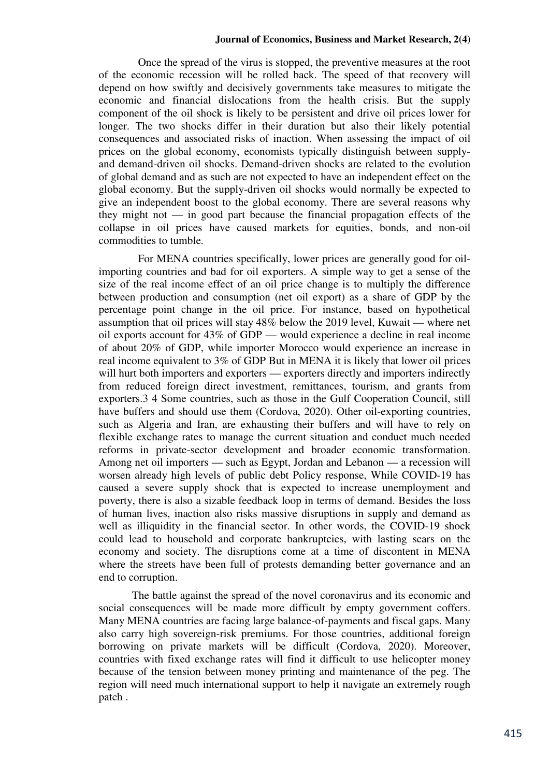#### **Journal of Economics, Business and Market Research, 2(4)**

Once the spread of the virus is stopped, the preventive measures at the root of the economic recession will be rolled back. The speed of that recovery will depend on how swiftly and decisively governments take measures to mitigate the economic and financial dislocations from the health crisis. But the supply component of the oil shock is likely to be persistent and drive oil prices lower for longer. The two shocks differ in their duration but also their likely potential consequences and associated risks of inaction. When assessing the impact of oil prices on the global economy, economists typically distinguish between supplyand demand-driven oil shocks. Demand-driven shocks are related to the evolution of global demand and as such are not expected to have an independent effect on the global economy. But the supply-driven oil shocks would normally be expected to give an independent boost to the global economy. There are several reasons why they might not — in good part because the financial propagation effects of the collapse in oil prices have caused markets for equities, bonds, and non-oil commodities to tumble.

For MENA countries specifically, lower prices are generally good for oilimporting countries and bad for oil exporters. A simple way to get a sense of the size of the real income effect of an oil price change is to multiply the difference between production and consumption (net oil export) as a share of GDP by the percentage point change in the oil price. For instance, based on hypothetical assumption that oil prices will stay 48% below the 2019 level, Kuwait — where net oil exports account for 43% of GDP — would experience a decline in real income of about 20% of GDP, while importer Morocco would experience an increase in real income equivalent to 3% of GDP But in MENA it is likely that lower oil prices will hurt both importers and exporters — exporters directly and importers indirectly from reduced foreign direct investment, remittances, tourism, and grants from exporters.3 4 Some countries, such as those in the Gulf Cooperation Council, still have buffers and should use them (Cordova, 2020). Other oil-exporting countries, such as Algeria and Iran, are exhausting their buffers and will have to rely on flexible exchange rates to manage the current situation and conduct much needed reforms in private-sector development and broader economic transformation. Among net oil importers — such as Egypt, Jordan and Lebanon — a recession will worsen already high levels of public debt Policy response, While COVID-19 has caused a severe supply shock that is expected to increase unemployment and poverty, there is also a sizable feedback loop in terms of demand. Besides the loss of human lives, inaction also risks massive disruptions in supply and demand as well as illiquidity in the financial sector. In other words, the COVID-19 shock could lead to household and corporate bankruptcies, with lasting scars on the economy and society. The disruptions come at a time of discontent in MENA where the streets have been full of protests demanding better governance and an end to corruption.

The battle against the spread of the novel coronavirus and its economic and social consequences will be made more difficult by empty government coffers. Many MENA countries are facing large balance-of-payments and fiscal gaps. Many also carry high sovereign-risk premiums. For those countries, additional foreign borrowing on private markets will be difficult (Cordova, 2020). Moreover, countries with fixed exchange rates will find it difficult to use helicopter money because of the tension between money printing and maintenance of the peg. The region will need much international support to help it navigate an extremely rough patch .